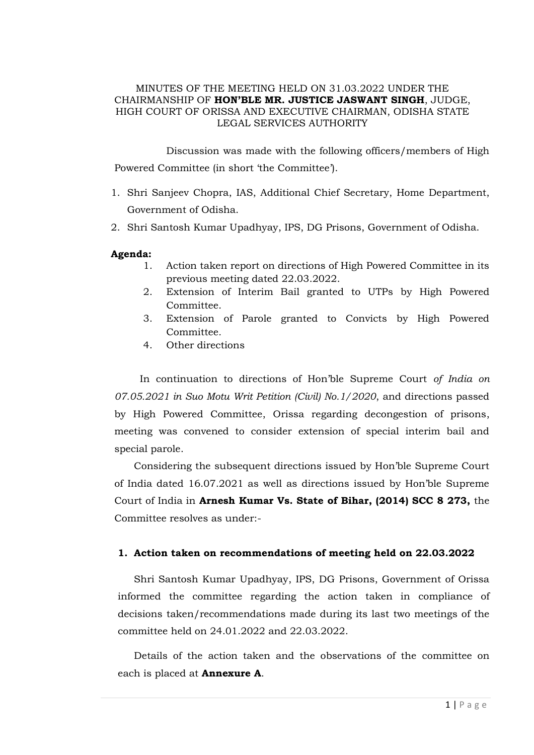### MINUTES OF THE MEETING HELD ON 31.03.2022 UNDER THE CHAIRMANSHIP OF **HON'BLE MR. JUSTICE JASWANT SINGH**, JUDGE, HIGH COURT OF ORISSA AND EXECUTIVE CHAIRMAN, ODISHA STATE LEGAL SERVICES AUTHORITY

Discussion was made with the following officers/members of High Powered Committee (in short 'the Committee').

- 1. Shri Sanjeev Chopra, IAS, Additional Chief Secretary, Home Department, Government of Odisha.
- 2. Shri Santosh Kumar Upadhyay, IPS, DG Prisons, Government of Odisha.

### **Agenda:**

- 1. Action taken report on directions of High Powered Committee in its previous meeting dated 22.03.2022.
- 2. Extension of Interim Bail granted to UTPs by High Powered Committee.
- 3. Extension of Parole granted to Convicts by High Powered Committee*.*
- 4. Other directions

In continuation to directions of Hon'ble Supreme Court *of India on 07.05.2021 in Suo Motu Writ Petition (Civil) No.1/2020*, and directions passed by High Powered Committee, Orissa regarding decongestion of prisons, meeting was convened to consider extension of special interim bail and special parole.

Considering the subsequent directions issued by Hon'ble Supreme Court of India dated 16.07.2021 as well as directions issued by Hon'ble Supreme Court of India in **Arnesh Kumar Vs. State of Bihar, (2014) SCC 8 273,** the Committee resolves as under:-

#### **1. Action taken on recommendations of meeting held on 22.03.2022**

Shri Santosh Kumar Upadhyay, IPS, DG Prisons, Government of Orissa informed the committee regarding the action taken in compliance of decisions taken/recommendations made during its last two meetings of the committee held on 24.01.2022 and 22.03.2022.

Details of the action taken and the observations of the committee on each is placed at **Annexure A**.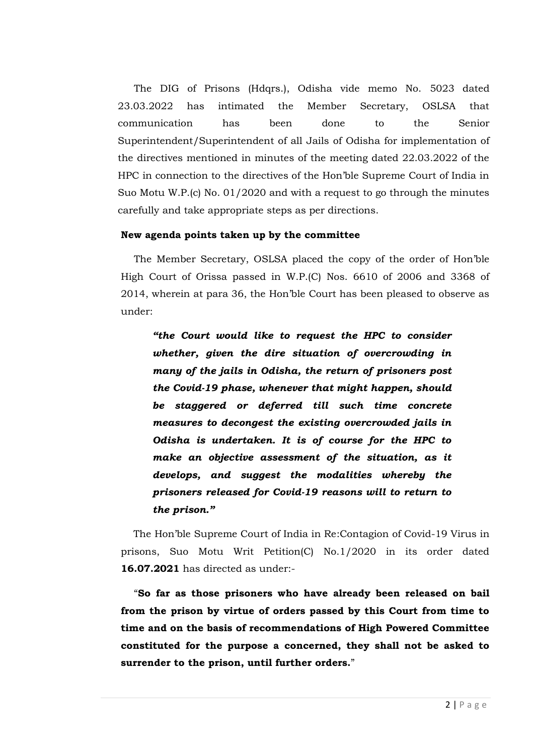The DIG of Prisons (Hdqrs.), Odisha vide memo No. 5023 dated 23.03.2022 has intimated the Member Secretary, OSLSA that communication has been done to the Senior Superintendent/Superintendent of all Jails of Odisha for implementation of the directives mentioned in minutes of the meeting dated 22.03.2022 of the HPC in connection to the directives of the Hon'ble Supreme Court of India in Suo Motu W.P.(c) No. 01/2020 and with a request to go through the minutes carefully and take appropriate steps as per directions.

## **New agenda points taken up by the committee**

The Member Secretary, OSLSA placed the copy of the order of Hon'ble High Court of Orissa passed in W.P.(C) Nos. 6610 of 2006 and 3368 of 2014, wherein at para 36, the Hon'ble Court has been pleased to observe as under:

*"the Court would like to request the HPC to consider whether, given the dire situation of overcrowding in many of the jails in Odisha, the return of prisoners post the Covid-19 phase, whenever that might happen, should be staggered or deferred till such time concrete measures to decongest the existing overcrowded jails in Odisha is undertaken. It is of course for the HPC to make an objective assessment of the situation, as it develops, and suggest the modalities whereby the prisoners released for Covid-19 reasons will to return to the prison."*

The Hon'ble Supreme Court of India in Re:Contagion of Covid-19 Virus in prisons, Suo Motu Writ Petition(C) No.1/2020 in its order dated **16.07.2021** has directed as under:-

"**So far as those prisoners who have already been released on bail from the prison by virtue of orders passed by this Court from time to time and on the basis of recommendations of High Powered Committee constituted for the purpose a concerned, they shall not be asked to surrender to the prison, until further orders.**"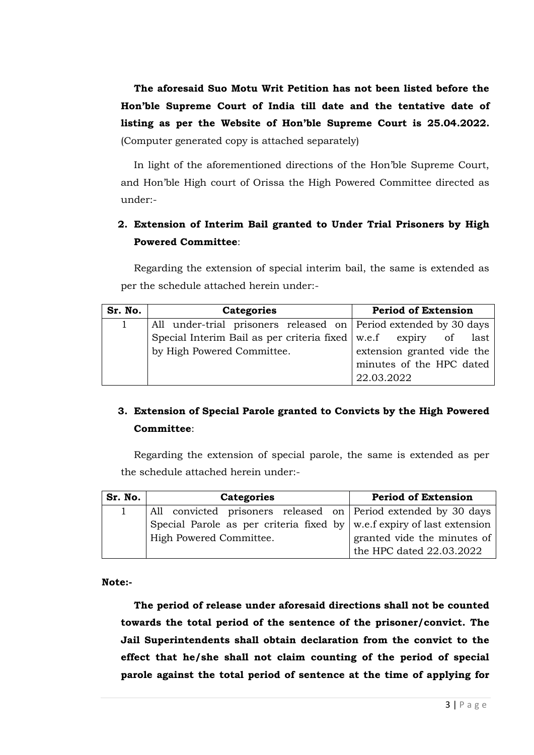**The aforesaid Suo Motu Writ Petition has not been listed before the Hon'ble Supreme Court of India till date and the tentative date of listing as per the Website of Hon'ble Supreme Court is 25.04.2022.** (Computer generated copy is attached separately)

In light of the aforementioned directions of the Hon'ble Supreme Court, and Hon'ble High court of Orissa the High Powered Committee directed as under:-

## **2. Extension of Interim Bail granted to Under Trial Prisoners by High Powered Committee**:

Regarding the extension of special interim bail, the same is extended as per the schedule attached herein under:-

| Sr. No. | <b>Categories</b>                                                 | <b>Period of Extension</b> |
|---------|-------------------------------------------------------------------|----------------------------|
|         | All under-trial prisoners released on Period extended by 30 days  |                            |
|         | Special Interim Bail as per criteria fixed   w.e.f expiry of last |                            |
|         | by High Powered Committee.                                        | extension granted vide the |
|         |                                                                   | minutes of the HPC dated   |
|         |                                                                   | 22.03.2022                 |

# **3. Extension of Special Parole granted to Convicts by the High Powered Committee**:

Regarding the extension of special parole, the same is extended as per the schedule attached herein under:-

| Sr. No. | <b>Categories</b>                                                              | <b>Period of Extension</b>  |
|---------|--------------------------------------------------------------------------------|-----------------------------|
|         | All convicted prisoners released on Period extended by 30 days                 |                             |
|         | Special Parole as per criteria fixed by $\vert$ w.e.f expiry of last extension |                             |
|         | High Powered Committee.                                                        | granted vide the minutes of |
|         |                                                                                | the HPC dated 22.03.2022    |

**Note:-**

**The period of release under aforesaid directions shall not be counted towards the total period of the sentence of the prisoner/convict. The Jail Superintendents shall obtain declaration from the convict to the effect that he/she shall not claim counting of the period of special parole against the total period of sentence at the time of applying for**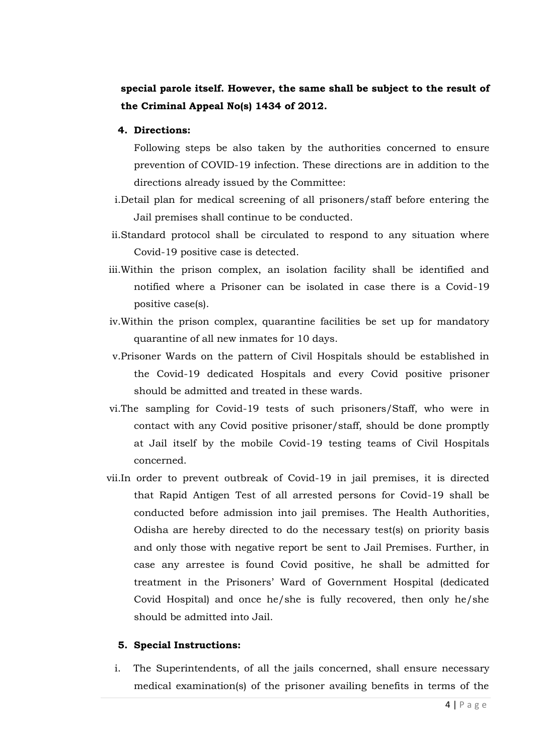## **special parole itself. However, the same shall be subject to the result of the Criminal Appeal No(s) 1434 of 2012.**

### **4. Directions:**

Following steps be also taken by the authorities concerned to ensure prevention of COVID-19 infection. These directions are in addition to the directions already issued by the Committee:

- i.Detail plan for medical screening of all prisoners/staff before entering the Jail premises shall continue to be conducted.
- ii.Standard protocol shall be circulated to respond to any situation where Covid-19 positive case is detected.
- iii.Within the prison complex, an isolation facility shall be identified and notified where a Prisoner can be isolated in case there is a Covid-19 positive case(s).
- iv.Within the prison complex, quarantine facilities be set up for mandatory quarantine of all new inmates for 10 days.
- v.Prisoner Wards on the pattern of Civil Hospitals should be established in the Covid-19 dedicated Hospitals and every Covid positive prisoner should be admitted and treated in these wards.
- vi.The sampling for Covid-19 tests of such prisoners/Staff, who were in contact with any Covid positive prisoner/staff, should be done promptly at Jail itself by the mobile Covid-19 testing teams of Civil Hospitals concerned.
- vii.In order to prevent outbreak of Covid-19 in jail premises, it is directed that Rapid Antigen Test of all arrested persons for Covid-19 shall be conducted before admission into jail premises. The Health Authorities, Odisha are hereby directed to do the necessary test(s) on priority basis and only those with negative report be sent to Jail Premises. Further, in case any arrestee is found Covid positive, he shall be admitted for treatment in the Prisoners' Ward of Government Hospital (dedicated Covid Hospital) and once he/she is fully recovered, then only he/she should be admitted into Jail.

### **5. Special Instructions:**

i. The Superintendents, of all the jails concerned, shall ensure necessary medical examination(s) of the prisoner availing benefits in terms of the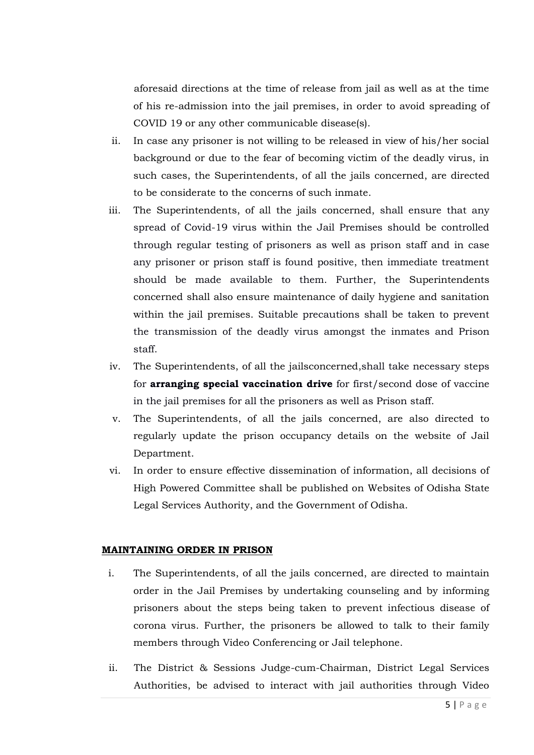aforesaid directions at the time of release from jail as well as at the time of his re-admission into the jail premises, in order to avoid spreading of COVID 19 or any other communicable disease(s).

- ii. In case any prisoner is not willing to be released in view of his/her social background or due to the fear of becoming victim of the deadly virus, in such cases, the Superintendents, of all the jails concerned, are directed to be considerate to the concerns of such inmate.
- iii. The Superintendents, of all the jails concerned, shall ensure that any spread of Covid-19 virus within the Jail Premises should be controlled through regular testing of prisoners as well as prison staff and in case any prisoner or prison staff is found positive, then immediate treatment should be made available to them. Further, the Superintendents concerned shall also ensure maintenance of daily hygiene and sanitation within the jail premises. Suitable precautions shall be taken to prevent the transmission of the deadly virus amongst the inmates and Prison staff.
- iv. The Superintendents, of all the jailsconcerned,shall take necessary steps for **arranging special vaccination drive** for first/second dose of vaccine in the jail premises for all the prisoners as well as Prison staff.
- v. The Superintendents, of all the jails concerned, are also directed to regularly update the prison occupancy details on the website of Jail Department.
- vi. In order to ensure effective dissemination of information, all decisions of High Powered Committee shall be published on Websites of Odisha State Legal Services Authority, and the Government of Odisha.

### **MAINTAINING ORDER IN PRISON**

- i. The Superintendents, of all the jails concerned, are directed to maintain order in the Jail Premises by undertaking counseling and by informing prisoners about the steps being taken to prevent infectious disease of corona virus. Further, the prisoners be allowed to talk to their family members through Video Conferencing or Jail telephone.
- ii. The District & Sessions Judge-cum-Chairman, District Legal Services Authorities, be advised to interact with jail authorities through Video